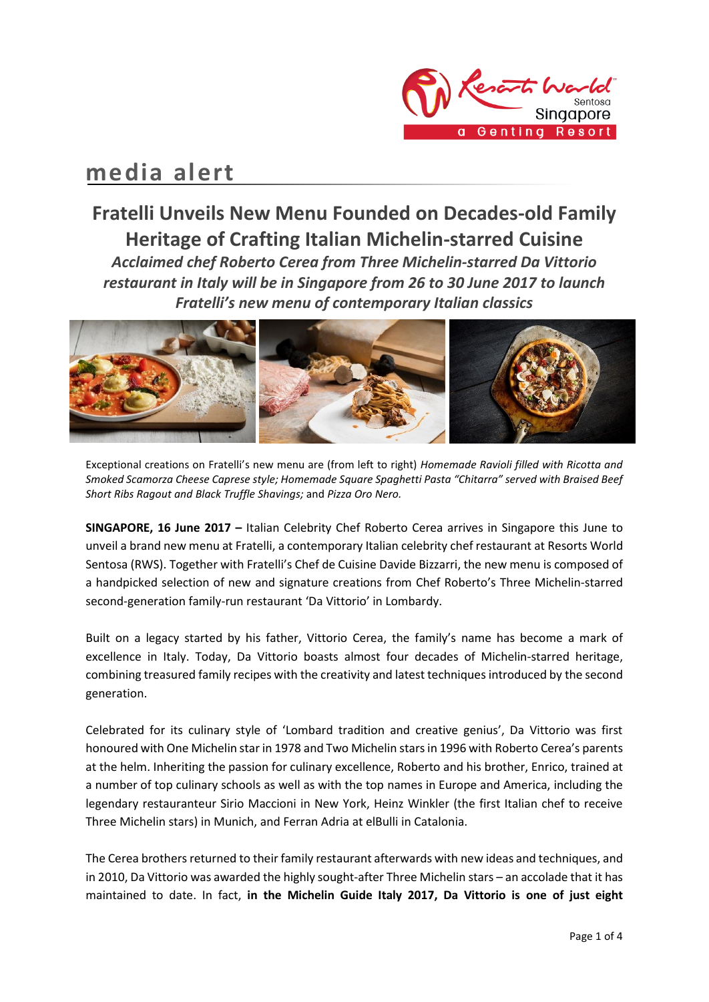

# **media alert**

## **Fratelli Unveils New Menu Founded on Decades-old Family Heritage of Crafting Italian Michelin-starred Cuisine** *Acclaimed chef Roberto Cerea from Three Michelin-starred Da Vittorio restaurant in Italy will be in Singapore from 26 to 30 June 2017 to launch Fratelli's new menu of contemporary Italian classics*



Exceptional creations on Fratelli's new menu are (from left to right) *Homemade Ravioli filled with Ricotta and Smoked Scamorza Cheese Caprese style; Homemade Square Spaghetti Pasta "Chitarra" served with Braised Beef Short Ribs Ragout and Black Truffle Shavings;* and *Pizza Oro Nero.*

**SINGAPORE, 16 June 2017 –** Italian Celebrity Chef Roberto Cerea arrives in Singapore this June to unveil a brand new menu at Fratelli, a contemporary Italian celebrity chef restaurant at Resorts World Sentosa (RWS). Together with Fratelli's Chef de Cuisine Davide Bizzarri, the new menu is composed of a handpicked selection of new and signature creations from Chef Roberto's Three Michelin-starred second-generation family-run restaurant 'Da Vittorio' in Lombardy.

Built on a legacy started by his father, Vittorio Cerea, the family's name has become a mark of excellence in Italy. Today, Da Vittorio boasts almost four decades of Michelin-starred heritage, combining treasured family recipes with the creativity and latest techniques introduced by the second generation.

Celebrated for its culinary style of 'Lombard tradition and creative genius', Da Vittorio was first honoured with One Michelin star in 1978 and Two Michelin stars in 1996 with Roberto Cerea's parents at the helm. Inheriting the passion for culinary excellence, Roberto and his brother, Enrico, trained at a number of top culinary schools as well as with the top names in Europe and America, including the legendary restauranteur Sirio Maccioni in New York, Heinz Winkler (the first Italian chef to receive Three Michelin stars) in Munich, and Ferran Adria at elBulli in Catalonia.

The Cerea brothers returned to their family restaurant afterwards with new ideas and techniques, and in 2010, Da Vittorio was awarded the highly sought-after Three Michelin stars – an accolade that it has maintained to date. In fact, **in the Michelin Guide Italy 2017, Da Vittorio is one of just eight**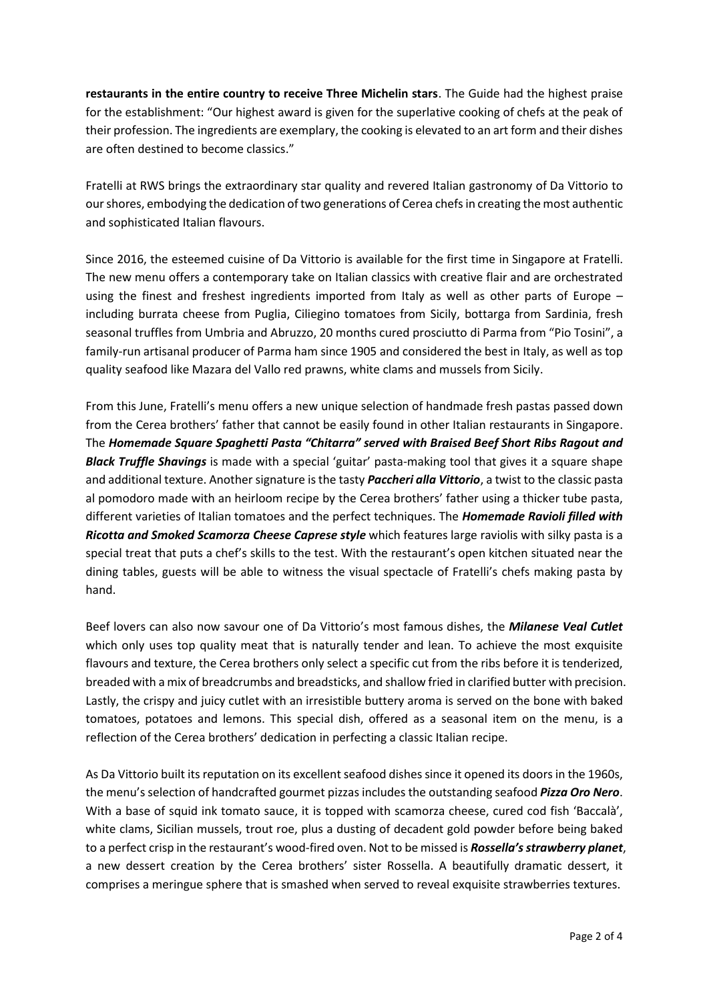**restaurants in the entire country to receive Three Michelin stars**. The Guide had the highest praise for the establishment: "Our highest award is given for the superlative cooking of chefs at the peak of their profession. The ingredients are exemplary, the cooking is elevated to an art form and their dishes are often destined to become classics."

Fratelli at RWS brings the extraordinary star quality and revered Italian gastronomy of Da Vittorio to our shores, embodying the dedication of two generations of Cerea chefs in creating the most authentic and sophisticated Italian flavours.

Since 2016, the esteemed cuisine of Da Vittorio is available for the first time in Singapore at Fratelli. The new menu offers a contemporary take on Italian classics with creative flair and are orchestrated using the finest and freshest ingredients imported from Italy as well as other parts of Europe – including burrata cheese from Puglia, Ciliegino tomatoes from Sicily, bottarga from Sardinia, fresh seasonal truffles from Umbria and Abruzzo, 20 months cured prosciutto di Parma from "Pio Tosini", a family-run artisanal producer of Parma ham since 1905 and considered the best in Italy, as well as top quality seafood like Mazara del Vallo red prawns, white clams and mussels from Sicily.

From this June, Fratelli's menu offers a new unique selection of handmade fresh pastas passed down from the Cerea brothers' father that cannot be easily found in other Italian restaurants in Singapore. The *Homemade Square Spaghetti Pasta "Chitarra" served with Braised Beef Short Ribs Ragout and Black Truffle Shavings* is made with a special 'guitar' pasta-making tool that gives it a square shape and additional texture. Another signature is the tasty *Paccheri alla Vittorio*, a twist to the classic pasta al pomodoro made with an heirloom recipe by the Cerea brothers' father using a thicker tube pasta, different varieties of Italian tomatoes and the perfect techniques. The *Homemade Ravioli filled with Ricotta and Smoked Scamorza Cheese Caprese style* which features large raviolis with silky pasta is a special treat that puts a chef's skills to the test. With the restaurant's open kitchen situated near the dining tables, guests will be able to witness the visual spectacle of Fratelli's chefs making pasta by hand.

Beef lovers can also now savour one of Da Vittorio's most famous dishes, the *Milanese Veal Cutlet* which only uses top quality meat that is naturally tender and lean. To achieve the most exquisite flavours and texture, the Cerea brothers only select a specific cut from the ribs before it is tenderized, breaded with a mix of breadcrumbs and breadsticks, and shallow fried in clarified butter with precision. Lastly, the crispy and juicy cutlet with an irresistible buttery aroma is served on the bone with baked tomatoes, potatoes and lemons. This special dish, offered as a seasonal item on the menu, is a reflection of the Cerea brothers' dedication in perfecting a classic Italian recipe.

As Da Vittorio built its reputation on its excellent seafood dishes since it opened its doors in the 1960s, the menu's selection of handcrafted gourmet pizzas includes the outstanding seafood *Pizza Oro Nero*. With a base of squid ink tomato sauce, it is topped with scamorza cheese, cured cod fish 'Baccalà', white clams, Sicilian mussels, trout roe, plus a dusting of decadent gold powder before being baked to a perfect crisp in the restaurant's wood-fired oven. Not to be missed is *Rossella's strawberry planet*, a new dessert creation by the Cerea brothers' sister Rossella. A beautifully dramatic dessert, it comprises a meringue sphere that is smashed when served to reveal exquisite strawberries textures.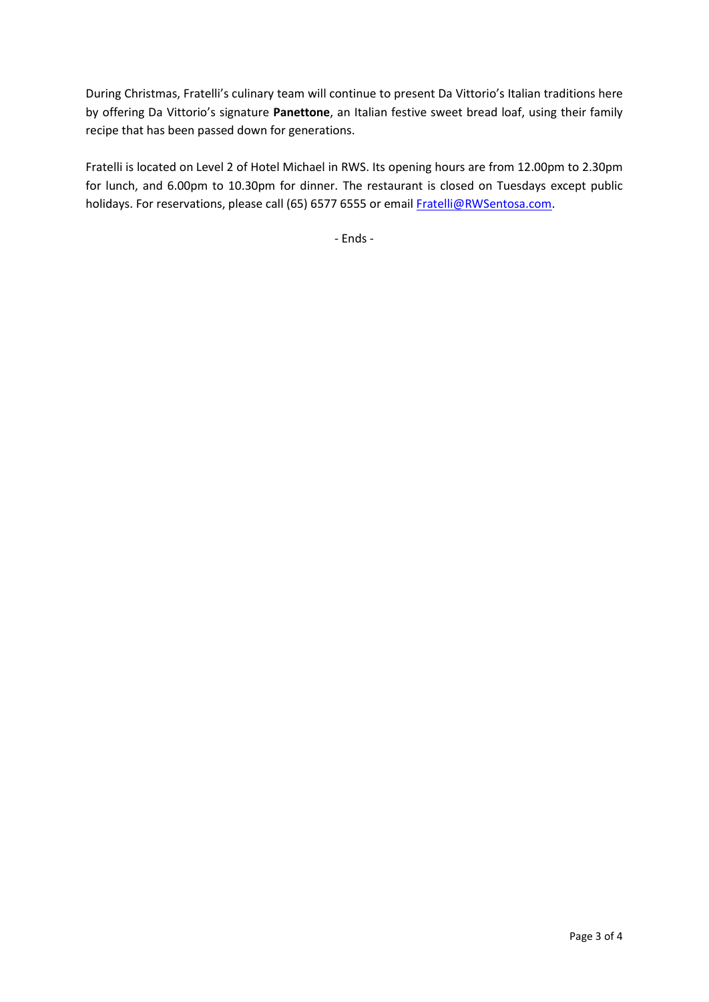During Christmas, Fratelli's culinary team will continue to present Da Vittorio's Italian traditions here by offering Da Vittorio's signature **Panettone**, an Italian festive sweet bread loaf, using their family recipe that has been passed down for generations.

Fratelli is located on Level 2 of Hotel Michael in RWS. Its opening hours are from 12.00pm to 2.30pm for lunch, and 6.00pm to 10.30pm for dinner. The restaurant is closed on Tuesdays except public holidays. For reservations, please call (65) 6577 6555 or emai[l Fratelli@RWSentosa.com.](mailto:Fratelli@RWSentosa.com)

- Ends -